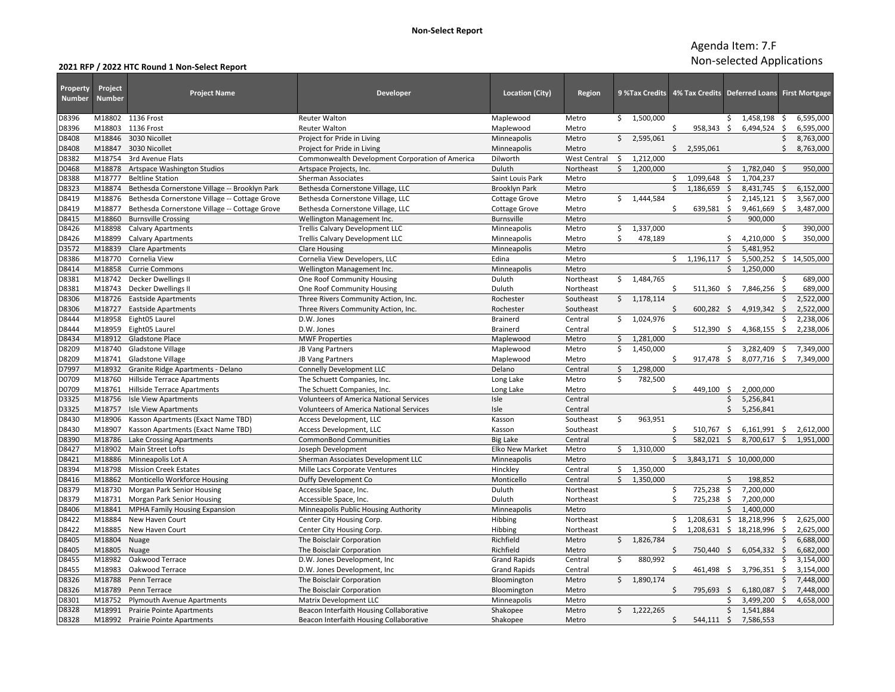## **2021 RFP / 2022 HTC Round 1 Non‐Select Report**

| Property<br><b>Number</b> | Project<br><b>Number</b> | <b>Project Name</b>                           | <b>Developer</b>                                | <b>Location (City)</b> | Region              |    |             |              | 9 %Tax Credits   4% Tax Credits   Deferred Loans   First Mortgage |                     |                            |                    |              |
|---------------------------|--------------------------|-----------------------------------------------|-------------------------------------------------|------------------------|---------------------|----|-------------|--------------|-------------------------------------------------------------------|---------------------|----------------------------|--------------------|--------------|
| D8396                     |                          | M18802 1136 Frost                             | <b>Reuter Walton</b>                            | Maplewood              | Metro               |    | \$1,500,000 |              |                                                                   | \$.                 | 1,458,198 \$               |                    | 6,595,000    |
| D8396                     | M18803                   | 1136 Frost                                    | <b>Reuter Walton</b>                            | Maplewood              | Metro               |    |             | \$           | 958,343                                                           | S.                  | $6,494,524$ \$             |                    | 6,595,000    |
| D8408                     | M18846                   | 3030 Nicollet                                 | Project for Pride in Living                     | Minneapolis            | Metro               | Ś. | 2,595,061   |              |                                                                   |                     |                            | \$                 | 8,763,000    |
| D8408                     | M18847                   | 3030 Nicollet                                 | Project for Pride in Living                     | Minneapolis            | Metro               |    |             |              | \$2,595,061                                                       |                     |                            | \$                 | 8,763,000    |
| D8382                     | M18754                   | 3rd Avenue Flats                              | Commonwealth Development Corporation of America | Dilworth               | <b>West Central</b> | \$ | 1,212,000   |              |                                                                   |                     |                            |                    |              |
| D0468                     | M18878                   | Artspace Washington Studios                   | Artspace Projects, Inc.                         | Duluth                 | Northeast           | \$ | 1,200,000   |              |                                                                   | \$                  | 1,782,040                  |                    | 950,000      |
| D8388                     | M18777                   | <b>Beltline Station</b>                       | Sherman Associates                              | Saint Louis Park       | Metro               |    |             | \$           | 1,099,648                                                         | $\ddot{\mathsf{S}}$ | 1,704,237                  |                    |              |
| D8323                     | M18874                   | Bethesda Cornerstone Village -- Brooklyn Park | Bethesda Cornerstone Village, LLC               | <b>Brooklyn Park</b>   | Metro               |    |             | $\mathsf{S}$ | 1.186.659                                                         | $\dot{\mathsf{S}}$  | 8,431,745                  | $\ddot{\varsigma}$ | 6,152,000    |
| D8419                     | M18876                   | Bethesda Cornerstone Village -- Cottage Grove | Bethesda Cornerstone Village, LLC               | Cottage Grove          | Metro               | \$ | 1,444,584   |              |                                                                   | Ś.                  | 2,145,121                  | \$                 | 3,567,000    |
| D8419                     | M18877                   | Bethesda Cornerstone Village -- Cottage Grove | Bethesda Cornerstone Village, LLC               | <b>Cottage Grove</b>   | Metro               |    |             | Ś.           | 639,581                                                           | $\mathsf{S}$        | 9,461,669 \$               |                    | 3,487,000    |
| D8415                     | M18860                   | <b>Burnsville Crossing</b>                    | Wellington Management Inc.                      | Burnsville             | Metro               |    |             |              |                                                                   | ς.                  | 900,000                    |                    |              |
| D8426                     | M18898                   | <b>Calvary Apartments</b>                     | <b>Trellis Calvary Development LLC</b>          | Minneapolis            | Metro               | \$ | 1,337,000   |              |                                                                   |                     |                            | \$                 | 390,000      |
| D8426                     | M18899                   | <b>Calvary Apartments</b>                     | Trellis Calvary Development LLC                 | Minneapolis            | Metro               | Ŝ. | 478,189     |              |                                                                   | \$                  | 4,210,000                  | - Ś                | 350,000      |
| D3572                     | M18839                   | <b>Clare Apartments</b>                       | <b>Clare Housing</b>                            | Minneapolis            | Metro               |    |             |              |                                                                   | $\zeta$             | 5,481,952                  |                    |              |
| D8386                     | M18770                   | Cornelia View                                 | Cornelia View Developers, LLC                   | Edina                  | Metro               |    |             | \$           | 1,196,117                                                         | \$                  | 5,500,252                  |                    | \$14,505,000 |
| D8414                     | M18858                   | <b>Currie Commons</b>                         | Wellington Management Inc.                      | Minneapolis            | Metro               |    |             |              |                                                                   | \$                  | 1,250,000                  |                    |              |
| D8381                     | M18742                   | Decker Dwellings II                           | One Roof Community Housing                      | Duluth                 | Northeast           |    | \$1,484,765 |              |                                                                   |                     |                            | Ś                  | 689,000      |
| D8381                     | M18743                   | Decker Dwellings II                           | One Roof Community Housing                      | Duluth                 | Northeast           |    |             | \$           | $511,360$ \$                                                      |                     | 7,846,256                  | -\$                | 689,000      |
| D8306                     | M18726                   | <b>Eastside Apartments</b>                    | Three Rivers Community Action, Inc.             | Rochester              | Southeast           | \$ | 1,178,114   |              |                                                                   |                     |                            |                    | 2,522,000    |
| D8306                     | M18727                   | <b>Eastside Apartments</b>                    | Three Rivers Community Action, Inc.             | Rochester              | Southeast           |    |             |              | $600,282$ \$                                                      |                     | $4,919,342$ \$             |                    | 2,522,000    |
| D8444                     | M18958                   | Eight05 Laurel                                | D.W. Jones                                      | <b>Brainerd</b>        | Central             | Ś. | 1,024,976   |              |                                                                   |                     |                            | Ś                  | 2,238,006    |
| D8444                     | M18959                   | Eight05 Laurel                                | D.W. Jones                                      | <b>Brainerd</b>        | Central             |    |             | Ŝ.           | 512,390 \$                                                        |                     | 4,368,155                  | \$                 | 2,238,006    |
| D8434                     | M18912                   | <b>Gladstone Place</b>                        | <b>MWF Properties</b>                           | Maplewood              | Metro               | \$ | 1,281,000   |              |                                                                   |                     |                            |                    |              |
| D8209                     | M18740                   | <b>Gladstone Village</b>                      | JB Vang Partners                                | Maplewood              | Metro               | Ś. | 1,450,000   |              |                                                                   | Ś.                  | 3,282,409                  | \$                 | 7,349,000    |
| D8209                     | M18741                   | Gladstone Village                             | JB Vang Partners                                | Maplewood              | Metro               |    |             |              | 917,478                                                           | \$                  | 8,077,716 \$               |                    | 7,349,000    |
| D7997                     | M18932                   | Granite Ridge Apartments - Delano             | <b>Connelly Development LLC</b>                 | Delano                 | Central             | \$ | 1,298,000   |              |                                                                   |                     |                            |                    |              |
| D0709                     | M18760                   | Hillside Terrace Apartments                   | The Schuett Companies, Inc.                     | Long Lake              | Metro               | \$ | 782,500     |              |                                                                   |                     |                            |                    |              |
| D0709                     | M18761                   | <b>Hillside Terrace Apartments</b>            | The Schuett Companies, Inc.                     | Long Lake              | Metro               |    |             | Ŝ            | 449,100                                                           | - Ś                 | 2.000.000                  |                    |              |
| D3325                     | M18756                   | <b>Isle View Apartments</b>                   | <b>Volunteers of America National Services</b>  | Isle                   | Central             |    |             |              |                                                                   | \$                  | 5,256,841                  |                    |              |
| D3325                     | M18757                   | <b>Isle View Apartments</b>                   | <b>Volunteers of America National Services</b>  | Isle                   | Central             |    |             |              |                                                                   | Ś.                  | 5,256,841                  |                    |              |
| D8430                     | M18906                   | Kasson Apartments (Exact Name TBD)            | Access Development, LLC                         | Kasson                 | Southeast           | \$ | 963,951     |              |                                                                   |                     |                            |                    |              |
| D8430                     | M18907                   | Kasson Apartments (Exact Name TBD)            | Access Development, LLC                         | Kasson                 | Southeast           |    |             | Ŝ.           | 510,767                                                           | -\$                 | 6,161,991                  | - \$               | 2,612,000    |
| D8390                     | M18786                   | Lake Crossing Apartments                      | <b>CommonBond Communities</b>                   | <b>Big Lake</b>        | Central             |    |             | Ś.           | 582.021                                                           | Ś.                  | 8,700,617                  | Ŝ.                 | 1,951,000    |
| D8427                     | M18902                   | Main Street Lofts                             | Joseph Development                              | <b>Elko New Market</b> | Metro               | \$ | 1,310,000   |              |                                                                   |                     |                            |                    |              |
| D8421                     | M18886                   | Minneapolis Lot A                             | Sherman Associates Development LLC              | Minneapolis            | Metro               |    |             | Ŝ.           | 3,843,171 \$ 10,000,000                                           |                     |                            |                    |              |
| D8394                     | M18798                   | <b>Mission Creek Estates</b>                  | Mille Lacs Corporate Ventures                   | Hinckley               | Central             | Ŝ. | 1,350,000   |              |                                                                   |                     |                            |                    |              |
| D8416                     | M18862                   | Monticello Workforce Housing                  | Duffy Development Co                            | Monticello             | Central             | \$ | 1,350,000   |              |                                                                   | Ŝ.                  | 198,852                    |                    |              |
| D8379                     | M18730                   | Morgan Park Senior Housing                    | Accessible Space, Inc.                          | Duluth                 | Northeast           |    |             | \$           | 725,238                                                           | -\$                 | 7,200,000                  |                    |              |
| D8379                     | M18731                   | Morgan Park Senior Housing                    | Accessible Space, Inc.                          | Duluth                 | Northeast           |    |             | Ŝ.           | 725,238                                                           | \$                  | 7,200,000                  |                    |              |
| D8406                     | M18841                   | <b>MPHA Family Housing Expansion</b>          | Minneapolis Public Housing Authority            | Minneapolis            | Metro               |    |             |              |                                                                   | \$                  | 1,400,000                  |                    |              |
| D8422                     | M18884                   | New Haven Court                               | Center City Housing Corp.                       | Hibbing                | Northeast           |    |             | \$           |                                                                   |                     | 1,208,631 \$ 18,218,996    | \$                 | 2,625,000    |
| D8422                     | M18885                   | New Haven Court                               | Center City Housing Corp.                       | Hibbing                | Northeast           |    |             | ς.           |                                                                   |                     | 1,208,631 \$ 18,218,996 \$ |                    | 2,625,000    |
| D8405                     | M18804                   | Nuage                                         | The Boisclair Corporation                       | Richfield              | Metro               |    | \$1,826,784 |              |                                                                   |                     |                            | Ś                  | 6,688,000    |
| D8405                     | M18805                   | Nuage                                         | The Boisclair Corporation                       | Richfield              | Metro               |    |             | Ŝ.           | 750,440 \$                                                        |                     | 6,054,332                  | S.                 | 6,682,000    |
| D8455                     | M18982                   | Oakwood Terrace                               | D.W. Jones Development, Inc.                    | <b>Grand Rapids</b>    | Central             | \$ | 880,992     |              |                                                                   |                     |                            |                    | 3,154,000    |
| D8455                     | M18983                   | Oakwood Terrace                               | D.W. Jones Development, Inc.                    | <b>Grand Rapids</b>    | Central             |    |             | \$           | 461,498 \$                                                        |                     | 3,796,351                  | S.                 | 3,154,000    |
| D8326                     | M18788                   | Penn Terrace                                  | The Boisclair Corporation                       | Bloomington            | Metro               | Ŝ. | 1,890,174   |              |                                                                   |                     |                            | \$                 | 7,448,000    |
| D8326                     | M18789                   | Penn Terrace                                  | The Boisclair Corporation                       | Bloomington            | Metro               |    |             | Ŝ.           | 795,693 \$                                                        |                     | 6,180,087                  | \$                 | 7,448,000    |
| D8301                     | M18752                   | <b>Plymouth Avenue Apartments</b>             | Matrix Development LLC                          | Minneapolis            | Metro               |    |             |              |                                                                   | Ś                   | 3,499,200                  | Ś.                 | 4,658,000    |
| D8328                     | M18991                   | <b>Prairie Pointe Apartments</b>              | Beacon Interfaith Housing Collaborative         | Shakopee               | Metro               |    | \$1,222,265 |              |                                                                   | Ś.                  | 1,541,884                  |                    |              |
| D8328                     |                          | M18992 Prairie Pointe Apartments              | Beacon Interfaith Housing Collaborative         | Shakopee               | Metro               |    |             | Ś.           | 544,111 \$                                                        |                     | 7,586,553                  |                    |              |